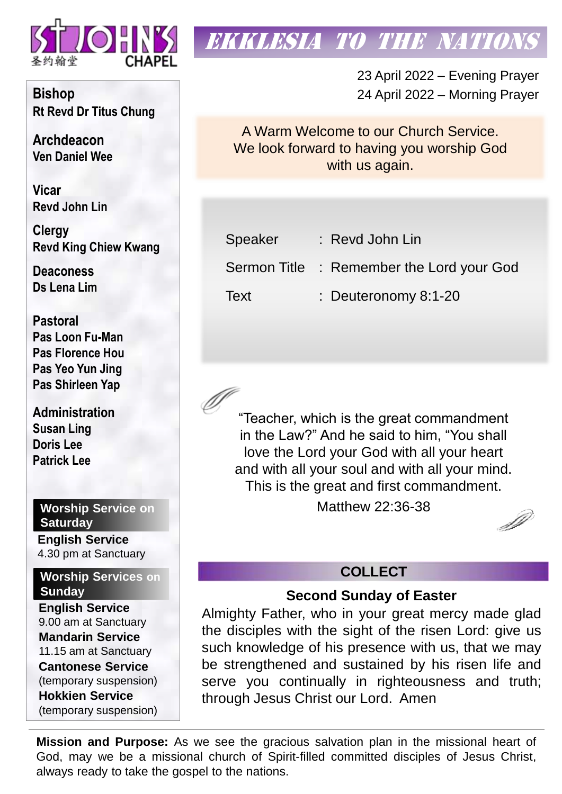

# **EKKLESIA TO THE NATION**

23 April 2022 – Evening Prayer 24 April 2022 – Morning Prayer

A Warm Welcome to our Church Service. We look forward to having you worship God with us again.

| Speaker | $:$ Revd John Lin                         |
|---------|-------------------------------------------|
|         | Sermon Title : Remember the Lord your God |
| Text    | : Deuteronomy 8:1-20                      |

"Teacher, which is the great commandment in the Law?" And he said to him, "You shall love the Lord your God with all your heart and with all your soul and with all your mind. This is the great and first commandment.

Matthew 22:36-38

D

### **COLLECT**

#### **Second Sunday of Easter**

Almighty Father, who in your great mercy made glad the disciples with the sight of the risen Lord: give us such knowledge of his presence with us, that we may be strengthened and sustained by his risen life and serve you continually in righteousness and truth; through Jesus Christ our Lord. Amen

**Mission and Purpose:** As we see the gracious salvation plan in the missional heart of God, may we be a missional church of Spirit-filled committed disciples of Jesus Christ, always ready to take the gospel to the nations.

**Bishop Rt Revd Dr Titus Chung**

**Archdeacon Ven Daniel Wee**

**Vicar Revd John Lin** 

**Clergy Revd King Chiew Kwang**

**Deaconess Ds Lena Lim**

**Pastoral Pas Loon Fu-Man Pas Florence Hou Pas Yeo Yun Jing Pas Shirleen Yap**

**Administration Susan Ling Doris Lee Patrick Lee**

### **Worship Service on Saturday**

**English Service**  4.30 pm at Sanctuary

**Worship Services on Sunday**

**English Service** 9.00 am at Sanctuary **Mandarin Service** 11.15 am at Sanctuary **Cantonese Service** (temporary suspension) **Hokkien Service** (temporary suspension)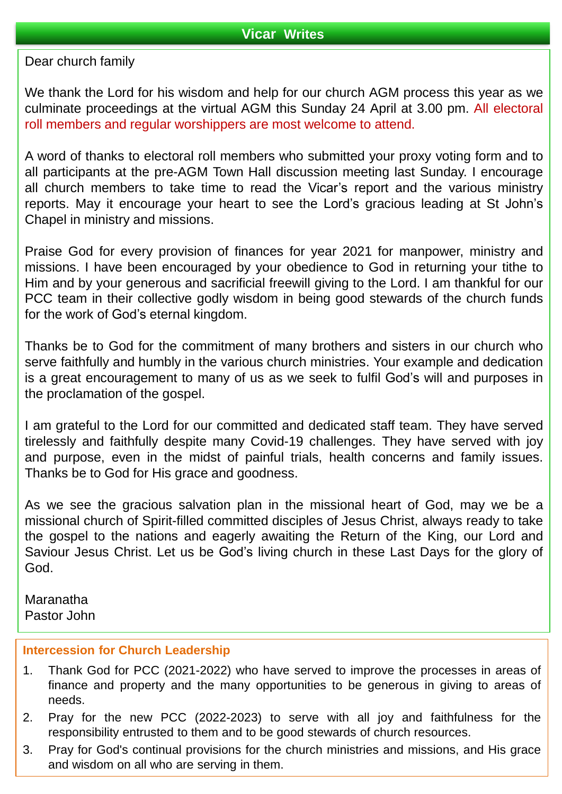#### Dear church family

We thank the Lord for his wisdom and help for our church AGM process this year as we culminate proceedings at the virtual AGM this Sunday 24 April at 3.00 pm. All electoral roll members and regular worshippers are most welcome to attend.

A word of thanks to electoral roll members who submitted your proxy voting form and to all participants at the pre-AGM Town Hall discussion meeting last Sunday. I encourage all church members to take time to read the Vicar's report and the various ministry reports. May it encourage your heart to see the Lord's gracious leading at St John's Chapel in ministry and missions.

Praise God for every provision of finances for year 2021 for manpower, ministry and missions. I have been encouraged by your obedience to God in returning your tithe to Him and by your generous and sacrificial freewill giving to the Lord. I am thankful for our PCC team in their collective godly wisdom in being good stewards of the church funds for the work of God's eternal kingdom.

Thanks be to God for the commitment of many brothers and sisters in our church who serve faithfully and humbly in the various church ministries. Your example and dedication is a great encouragement to many of us as we seek to fulfil God's will and purposes in the proclamation of the gospel.

I am grateful to the Lord for our committed and dedicated staff team. They have served tirelessly and faithfully despite many Covid-19 challenges. They have served with joy and purpose, even in the midst of painful trials, health concerns and family issues. Thanks be to God for His grace and goodness.

As we see the gracious salvation plan in the missional heart of God, may we be a missional church of Spirit-filled committed disciples of Jesus Christ, always ready to take the gospel to the nations and eagerly awaiting the Return of the King, our Lord and Saviour Jesus Christ. Let us be God's living church in these Last Days for the glory of God.

Maranatha Pastor John

#### **Intercession for Church Leadership**

- 1. Thank God for PCC (2021-2022) who have served to improve the processes in areas of finance and property and the many opportunities to be generous in giving to areas of needs.
- 2. Pray for the new PCC (2022-2023) to serve with all joy and faithfulness for the responsibility entrusted to them and to be good stewards of church resources.
- 3. Pray for God's continual provisions for the church ministries and missions, and His grace and wisdom on all who are serving in them.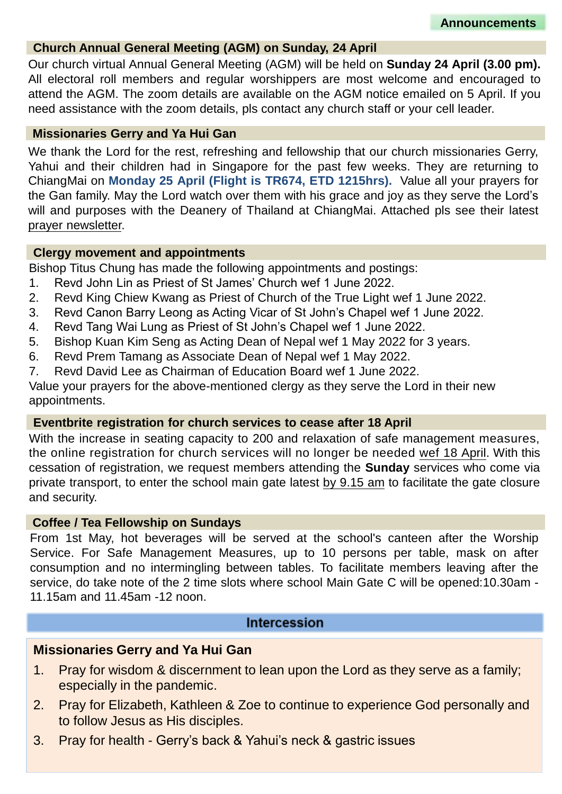#### **Church Annual General Meeting (AGM) on Sunday, 24 April**

Our church virtual Annual General Meeting (AGM) will be held on **Sunday 24 April (3.00 pm).** All electoral roll members and regular worshippers are most welcome and encouraged to attend the AGM. The zoom details are available on the AGM notice emailed on 5 April. If you need assistance with the zoom details, pls contact any church staff or your cell leader.

#### **Missionaries Gerry and Ya Hui Gan**

We thank the Lord for the rest, refreshing and fellowship that our church missionaries Gerry, Yahui and their children had in Singapore for the past few weeks. They are returning to ChiangMai on **Monday 25 April (Flight is TR674, ETD 1215hrs).** Value all your prayers for the Gan family. May the Lord watch over them with his grace and joy as they serve the Lord's will and purposes with the Deanery of Thailand at ChiangMai. Attached pls see their latest prayer newsletter.

#### **Clergy movement and appointments**

Bishop Titus Chung has made the following appointments and postings:

- 1. Revd John Lin as Priest of St James' Church wef 1 June 2022.
- 2. Revd King Chiew Kwang as Priest of Church of the True Light wef 1 June 2022.
- 3. Revd Canon Barry Leong as Acting Vicar of St John's Chapel wef 1 June 2022.
- 4. Revd Tang Wai Lung as Priest of St John's Chapel wef 1 June 2022.
- 5. Bishop Kuan Kim Seng as Acting Dean of Nepal wef 1 May 2022 for 3 years.
- 6. Revd Prem Tamang as Associate Dean of Nepal wef 1 May 2022.
- 7. Revd David Lee as Chairman of Education Board wef 1 June 2022.

Value your prayers for the above-mentioned clergy as they serve the Lord in their new appointments.

#### **Eventbrite registration for church services to cease after 18 April**

With the increase in seating capacity to 200 and relaxation of safe management measures, the online registration for church services will no longer be needed wef 18 April. With this cessation of registration, we request members attending the **Sunday** services who come via private transport, to enter the school main gate latest by 9.15 am to facilitate the gate closure and security.

#### **Coffee / Tea Fellowship on Sundays**

From 1st May, hot beverages will be served at the school's canteen after the Worship Service. For Safe Management Measures, up to 10 persons per table, mask on after consumption and no intermingling between tables. To facilitate members leaving after the service, do take note of the 2 time slots where school Main Gate C will be opened:10.30am - 11.15am and 11.45am -12 noon.

#### **Intercession**

#### **Missionaries Gerry and Ya Hui Gan**

- 1. Pray for wisdom & discernment to lean upon the Lord as they serve as a family; especially in the pandemic.
- 2. Pray for Elizabeth, Kathleen & Zoe to continue to experience God personally and to follow Jesus as His disciples.
- 3. Pray for health Gerry's back & Yahui's neck & gastric issues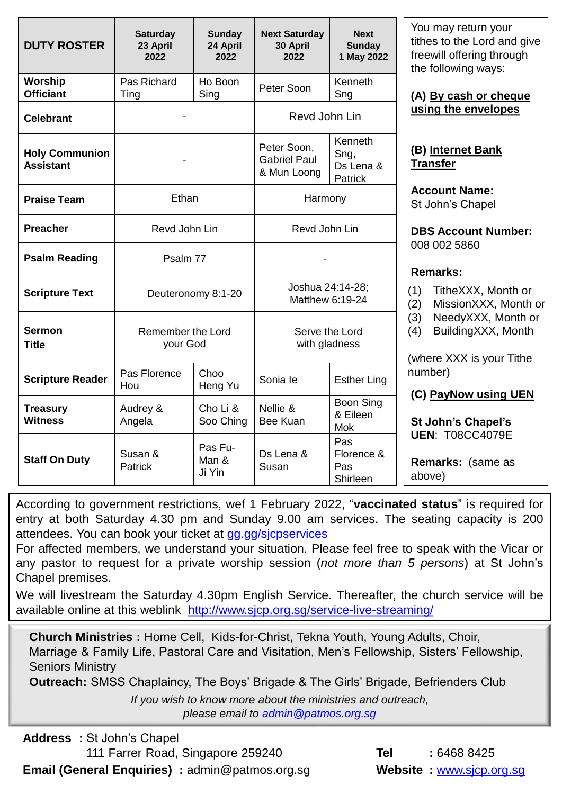| <b>DUTY ROSTER</b>                        | <b>Saturday</b><br>23 April<br>2022 | <b>Sunday</b><br>24 April<br>2022 | <b>Next Saturday</b><br>30 April<br>2022          | <b>Next</b><br><b>Sunday</b><br>1 May 2022     |
|-------------------------------------------|-------------------------------------|-----------------------------------|---------------------------------------------------|------------------------------------------------|
| Worship<br><b>Officiant</b>               | Pas Richard<br>Ting                 | Ho Boon<br>Sing                   | Peter Soon                                        | Kenneth<br>Sng                                 |
| <b>Celebrant</b>                          |                                     |                                   | Revd John Lin                                     |                                                |
| <b>Holy Communion</b><br><b>Assistant</b> |                                     |                                   | Peter Soon,<br><b>Gabriel Paul</b><br>& Mun Loong | Kenneth<br>Sng,<br>Ds Lena &<br><b>Patrick</b> |
| <b>Praise Team</b>                        | Ethan                               |                                   | Harmony                                           |                                                |
| <b>Preacher</b>                           | Revd John Lin                       |                                   | Revd John Lin                                     |                                                |
| <b>Psalm Reading</b>                      | Psalm 77                            |                                   |                                                   |                                                |
| <b>Scripture Text</b>                     |                                     | Deuteronomy 8:1-20                | Joshua 24:14-28;<br>Matthew 6:19-24               |                                                |
| Sermon<br><b>Title</b>                    | Remember the Lord<br>your God       |                                   | Serve the Lord<br>with gladness                   |                                                |
| <b>Scripture Reader</b>                   | Pas Florence<br>Hou                 | Choo<br>Heng Yu                   | Sonia le                                          | <b>Esther Ling</b>                             |
| <b>Treasury</b><br><b>Witness</b>         | Audrey &<br>Angela                  | Cho Li &<br>Soo Ching             | Nellie &<br>Bee Kuan                              | <b>Boon Sing</b><br>& Eileen<br><b>Mok</b>     |
| <b>Staff On Duty</b>                      | Susan &<br>Patrick                  | Pas Fu-<br>Man &<br>Ji Yin        | Ds Lena &<br>Susan                                | Pas<br>Florence &<br>Pas<br>Shirleen           |

You may return your tithes to the Lord and give freewill offering through the following ways:

**(A) By cash or cheque using the envelopes**

**(B) Internet Bank Transfer**

**Account Name:** St John's Chapel

**DBS Account Number:** 008 002 5860

#### **Remarks:**

- (1) TitheXXX, Month or
- (2) MissionXXX, Month or
- (3) NeedyXXX, Month or
- (4) BuildingXXX, Month

where XXX is your Tithe number)

**(C) PayNow using UEN**

**St John's Chapel's UEN**: T08CC4079E

**Remarks:** (same as above)

According to government restrictions, wef 1 February 2022, "**vaccinated status**" is required for entry at both Saturday 4.30 pm and Sunday 9.00 am services. The seating capacity is 200 attendees. You can book your ticket at [gg.gg/sjcpservices](https://www.eventbrite.sg/o/st-johns-chapel-singapore-30660507632)

For affected members, we understand your situation. Please feel free to speak with the Vicar or any pastor to request for a private worship session (*not more than 5 persons*) at St John's Chapel premises.

We will livestream the Saturday 4.30pm English Service. Thereafter, the church service will be available online at this weblink <http://www.sjcp.org.sg/service-live-streaming/>

**Church Ministries :** Home Cell, Kids-for-Christ, Tekna Youth, Young Adults, Choir, Marriage & Family Life, Pastoral Care and Visitation, Men's Fellowship, Sisters' Fellowship, Seniors Ministry

**Outreach:** SMSS Chaplaincy, The Boys' Brigade & The Girls' Brigade, Befrienders Club

*If you wish to know more about the ministries and outreach, please email to [admin@patmos.org.sg](mailto:admin@patmos.org.sg)*

**Address :** St John's Chapel 111 Farrer Road, Singapore 259240 **Tel :** 6468 8425 **Email (General Enquiries) :** admin@patmos.org.sg **Website :** [www.sjcp.org.sg](http://www.sjcp.org.sg/)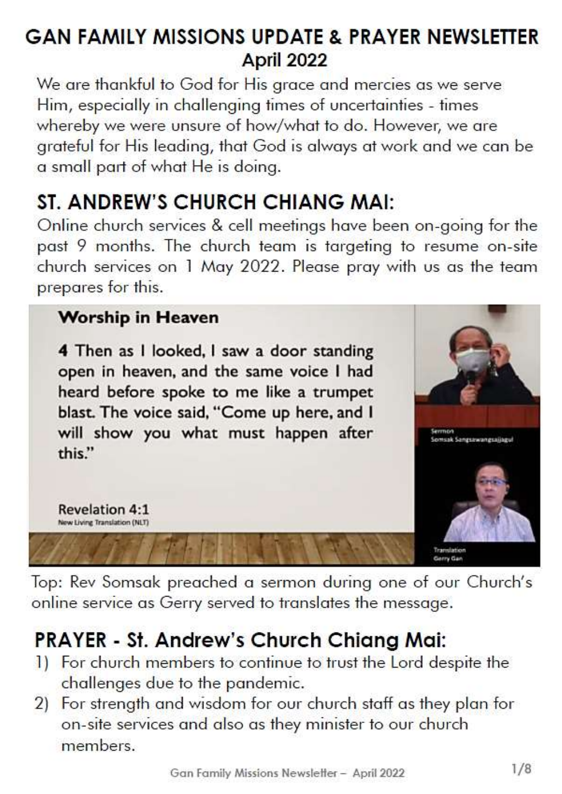### **GAN FAMILY MISSIONS UPDATE & PRAYER NEWSLETTER** April 2022

We are thankful to God for His grace and mercies as we serve Him, especially in challenging times of uncertainties - times whereby we were unsure of how/what to do. However, we are grateful for His leading, that God is always at work and we can be a small part of what He is doing.

## ST. ANDREW'S CHURCH CHIANG MAI:

Online church services & cell meetings have been on-going for the past 9 months. The church team is targeting to resume on-site church services on 1 May 2022. Please pray with us as the team prepares for this.

### **Worship in Heaven**

**Revelation 4:1** New Living Translation (NLT)

4 Then as I looked, I saw a door standing open in heaven, and the same voice I had heard before spoke to me like a trumpet blast. The voice said, "Come up here, and I will show you what must happen after this."



Top: Rev Somsak preached a sermon during one of our Church's online service as Gerry served to translates the message.

## **PRAYER - St. Andrew's Church Chiang Mai:**

- 1) For church members to continue to trust the Lord despite the challenges due to the pandemic.
- For strength and wisdom for our church staff as they plan for  $(2)$ on-site services and also as they minister to our church members.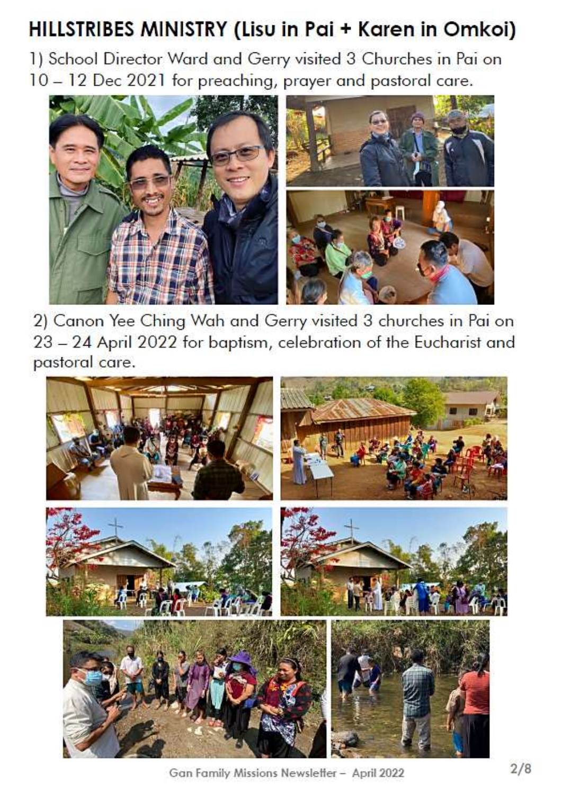# HILLSTRIBES MINISTRY (Lisu in Pai + Karen in Omkoi)

1) School Director Ward and Gerry visited 3 Churches in Pai on 10 - 12 Dec 2021 for preaching, prayer and pastoral care.



2) Canon Yee Ching Wah and Gerry visited 3 churches in Pai on 23 - 24 April 2022 for baptism, celebration of the Eucharist and pastoral care.



Gan Family Missions Newsletter - April 2022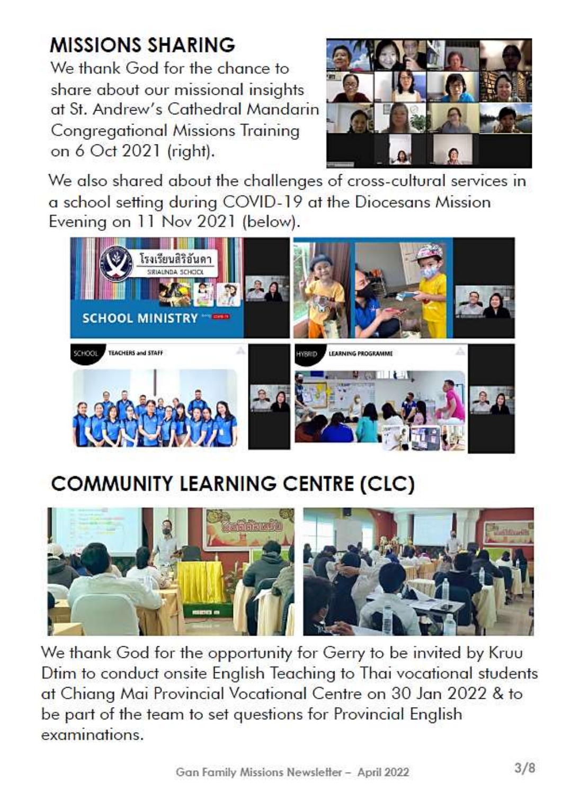# **MISSIONS SHARING**

We thank God for the chance to share about our missional insights at St. Andrew's Cathedral Mandarin **Congregational Missions Training** on 6 Oct 2021 (right).



We also shared about the challenges of cross-cultural services in a school setting during COVID-19 at the Diocesans Mission Evening on 11 Nov 2021 (below).



# **COMMUNITY LEARNING CENTRE (CLC)**



We thank God for the opportunity for Gerry to be invited by Kruu Dtim to conduct onsite English Teaching to Thai vocational students at Chiang Mai Provincial Vocational Centre on 30 Jan 2022 & to be part of the team to set questions for Provincial English examinations.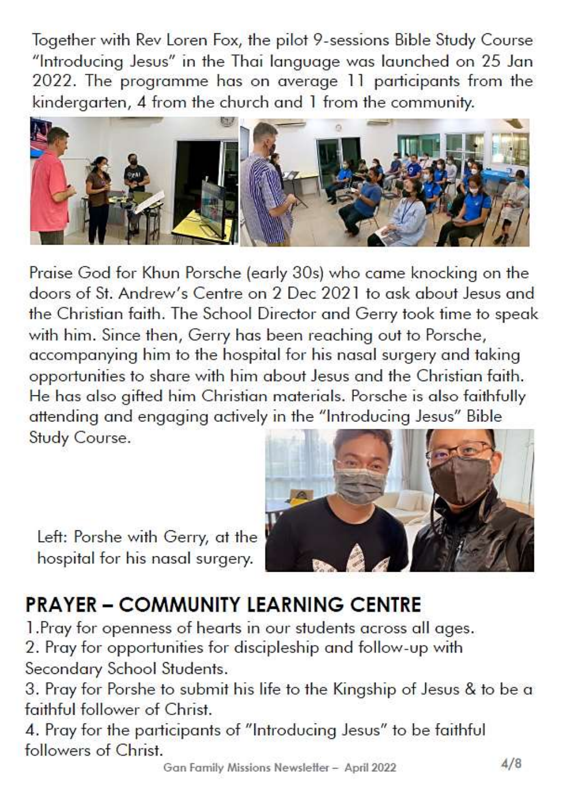Together with Rev Loren Fox, the pilot 9-sessions Bible Study Course "Introducing Jesus" in the Thai language was launched on 25 Jan 2022. The programme has on average 11 participants from the kindergarten, 4 from the church and 1 from the community.



Praise God for Khun Porsche (early 30s) who came knocking on the doors of St. Andrew's Centre on 2 Dec 2021 to ask about Jesus and the Christian faith. The School Director and Gerry took time to speak with him. Since then, Gerry has been reaching out to Porsche, accompanying him to the hospital for his nasal surgery and taking opportunities to share with him about Jesus and the Christian faith. He has also gifted him Christian materials. Porsche is also faithfully attending and engaging actively in the "Introducing Jesus" Bible Study Course.



Left: Porshe with Gerry, at the hospital for his nasal surgery.

# **PRAYER - COMMUNITY LEARNING CENTRE**

1. Pray for openness of hearts in our students across all ages.

2. Pray for opportunities for discipleship and follow-up with Secondary School Students.

3. Pray for Porshe to submit his life to the Kingship of Jesus & to be a faithful follower of Christ.

4. Pray for the participants of "Introducing Jesus" to be faithful followers of Christ.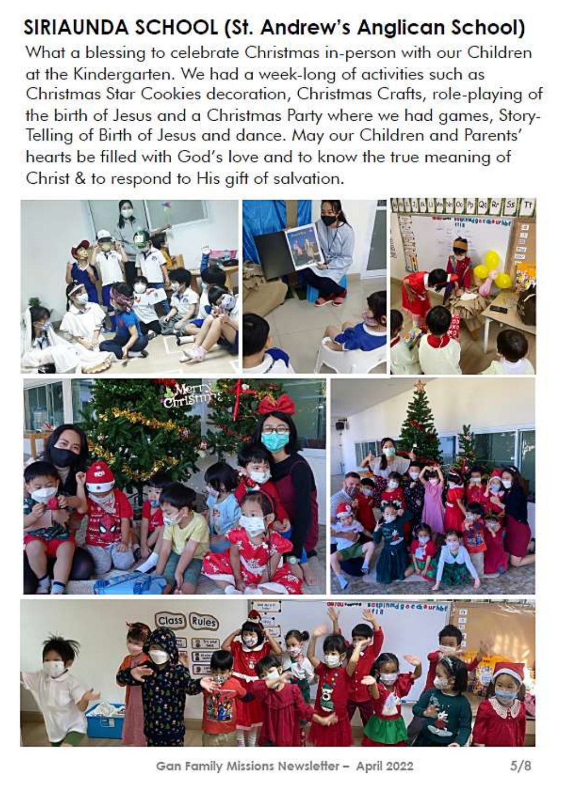## SIRIAUNDA SCHOOL (St. Andrew's Anglican School)

What a blessing to celebrate Christmas in-person with our Children at the Kindergarten. We had a week-long of activities such as Christmas Star Cookies decoration, Christmas Crafts, role-playing of the birth of Jesus and a Christmas Party where we had games, Story-Telling of Birth of Jesus and dance. May our Children and Parents' hearts be filled with God's love and to know the true meaning of Christ & to respond to His gift of salvation.



Gan Family Missions Newsletter - April 2022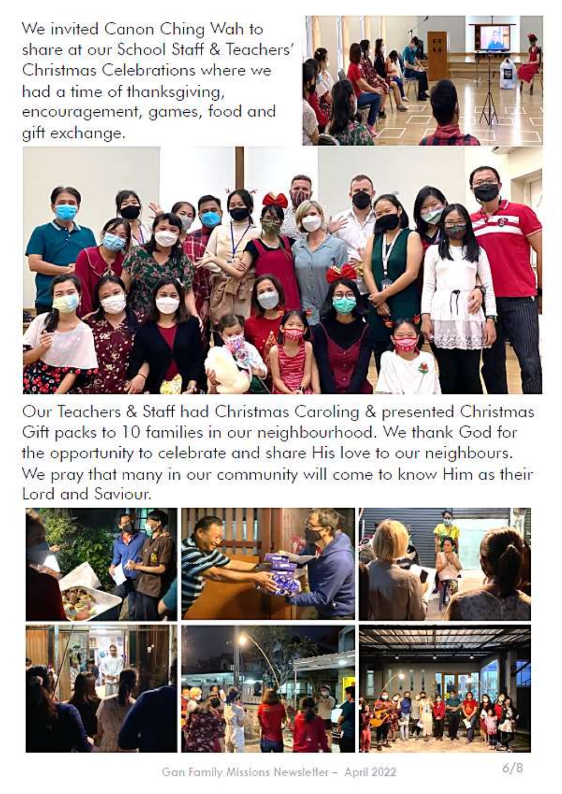We invited Canon Ching Wah to share at our School Staff & Teachers' Christmas Celebrations where we had a time of thanksgiving, encouragement, games, food and gift exchange.





Our Teachers & Staff had Christmas Caroling & presented Christmas Gift packs to 10 families in our neighbourhood. We thank God for the opportunity to celebrate and share His love to our neighbours. We pray that many in our community will come to know Him as their Lord and Saviour.



Gan Family Missions Newsletter - April 2022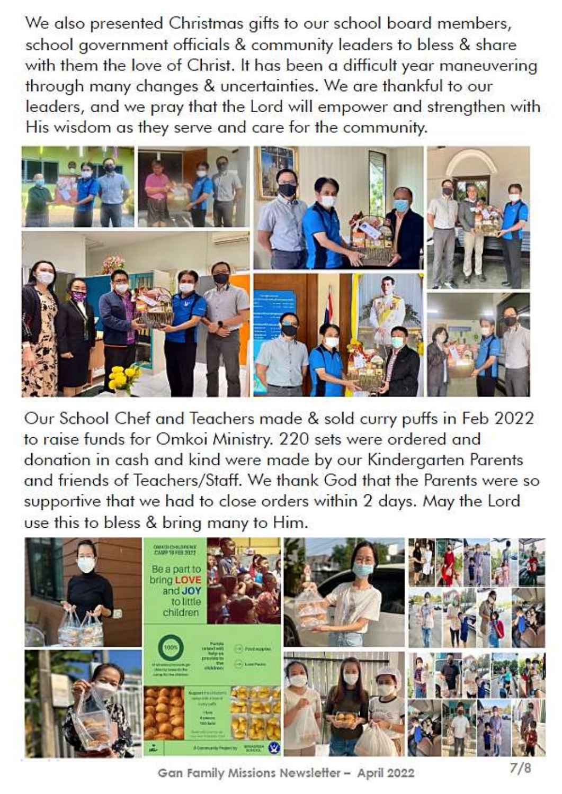We also presented Christmas gifts to our school board members, school government officials & community leaders to bless & share with them the love of Christ. It has been a difficult year maneuvering through many changes & uncertainties. We are thankful to our leaders, and we pray that the Lord will empower and strengthen with His wisdom as they serve and care for the community.



Our School Chef and Teachers made & sold curry puffs in Feb 2022 to raise funds for Omkoi Ministry. 220 sets were ordered and donation in cash and kind were made by our Kindergarten Parents and friends of Teachers/Staff. We thank God that the Parents were so supportive that we had to close orders within 2 days. May the Lord use this to bless & bring many to Him.



Gan Family Missions Newsletter - April 2022